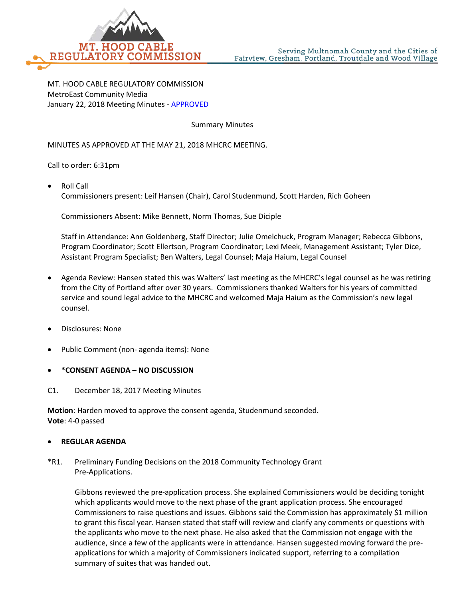

MT. HOOD CABLE REGULATORY COMMISSION MetroEast Community Media January 22, 2018 Meeting Minutes - APPROVED

Summary Minutes

MINUTES AS APPROVED AT THE MAY 21, 2018 MHCRC MEETING.

Call to order: 6:31pm

• Roll Call Commissioners present: Leif Hansen (Chair), Carol Studenmund, Scott Harden, Rich Goheen

Commissioners Absent: Mike Bennett, Norm Thomas, Sue Diciple

Staff in Attendance: Ann Goldenberg, Staff Director; Julie Omelchuck, Program Manager; Rebecca Gibbons, Program Coordinator; Scott Ellertson, Program Coordinator; Lexi Meek, Management Assistant; Tyler Dice, Assistant Program Specialist; Ben Walters, Legal Counsel; Maja Haium, Legal Counsel

- Agenda Review: Hansen stated this was Walters' last meeting as the MHCRC's legal counsel as he was retiring from the City of Portland after over 30 years. Commissioners thanked Walters for his years of committed service and sound legal advice to the MHCRC and welcomed Maja Haium as the Commission's new legal counsel.
- Disclosures: None
- Public Comment (non- agenda items): None
- **\*CONSENT AGENDA – NO DISCUSSION**
- C1. December 18, 2017 Meeting Minutes

**Motion**: Harden moved to approve the consent agenda, Studenmund seconded. **Vote**: 4-0 passed

## • **REGULAR AGENDA**

## \*R1. Preliminary Funding Decisions on the 2018 Community Technology Grant Pre-Applications.

Gibbons reviewed the pre-application process. She explained Commissioners would be deciding tonight which applicants would move to the next phase of the grant application process. She encouraged Commissioners to raise questions and issues. Gibbons said the Commission has approximately \$1 million to grant this fiscal year. Hansen stated that staff will review and clarify any comments or questions with the applicants who move to the next phase. He also asked that the Commission not engage with the audience, since a few of the applicants were in attendance. Hansen suggested moving forward the preapplications for which a majority of Commissioners indicated support, referring to a compilation summary of suites that was handed out.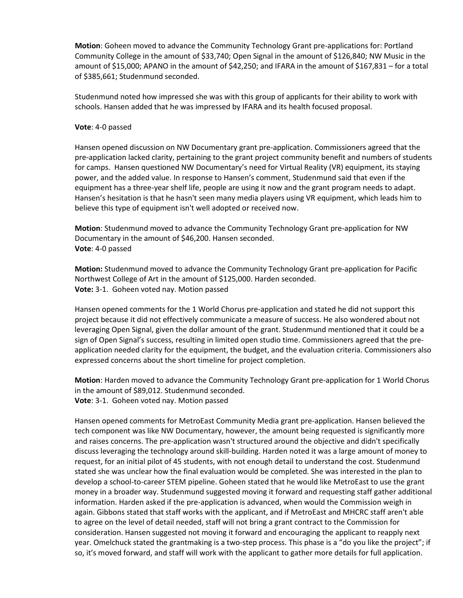**Motion**: Goheen moved to advance the Community Technology Grant pre-applications for: Portland Community College in the amount of \$33,740; Open Signal in the amount of \$126,840; NW Music in the amount of \$15,000; APANO in the amount of \$42,250; and IFARA in the amount of \$167,831 – for a total of \$385,661; Studenmund seconded.

Studenmund noted how impressed she was with this group of applicants for their ability to work with schools. Hansen added that he was impressed by IFARA and its health focused proposal.

## **Vote**: 4-0 passed

Hansen opened discussion on NW Documentary grant pre-application. Commissioners agreed that the pre-application lacked clarity, pertaining to the grant project community benefit and numbers of students for camps. Hansen questioned NW Documentary's need for Virtual Reality (VR) equipment, its staying power, and the added value. In response to Hansen's comment, Studenmund said that even if the equipment has a three-year shelf life, people are using it now and the grant program needs to adapt. Hansen's hesitation is that he hasn't seen many media players using VR equipment, which leads him to believe this type of equipment isn't well adopted or received now.

**Motion**: Studenmund moved to advance the Community Technology Grant pre-application for NW Documentary in the amount of \$46,200. Hansen seconded. **Vote**: 4-0 passed

**Motion:** Studenmund moved to advance the Community Technology Grant pre-application for Pacific Northwest College of Art in the amount of \$125,000. Harden seconded. **Vote:** 3-1. Goheen voted nay. Motion passed

Hansen opened comments for the 1 World Chorus pre-application and stated he did not support this project because it did not effectively communicate a measure of success. He also wondered about not leveraging Open Signal, given the dollar amount of the grant. Studenmund mentioned that it could be a sign of Open Signal's success, resulting in limited open studio time. Commissioners agreed that the preapplication needed clarity for the equipment, the budget, and the evaluation criteria. Commissioners also expressed concerns about the short timeline for project completion.

**Motion**: Harden moved to advance the Community Technology Grant pre-application for 1 World Chorus in the amount of \$89,012. Studenmund seconded. **Vote**: 3-1. Goheen voted nay. Motion passed

Hansen opened comments for MetroEast Community Media grant pre-application. Hansen believed the tech component was like NW Documentary, however, the amount being requested is significantly more and raises concerns. The pre-application wasn't structured around the objective and didn't specifically discuss leveraging the technology around skill-building. Harden noted it was a large amount of money to request, for an initial pilot of 45 students, with not enough detail to understand the cost. Studenmund stated she was unclear how the final evaluation would be completed. She was interested in the plan to develop a school-to-career STEM pipeline. Goheen stated that he would like MetroEast to use the grant money in a broader way. Studenmund suggested moving it forward and requesting staff gather additional information. Harden asked if the pre-application is advanced, when would the Commission weigh in again. Gibbons stated that staff works with the applicant, and if MetroEast and MHCRC staff aren't able to agree on the level of detail needed, staff will not bring a grant contract to the Commission for consideration. Hansen suggested not moving it forward and encouraging the applicant to reapply next year. Omelchuck stated the grantmaking is a two-step process. This phase is a "do you like the project"; if so, it's moved forward, and staff will work with the applicant to gather more details for full application.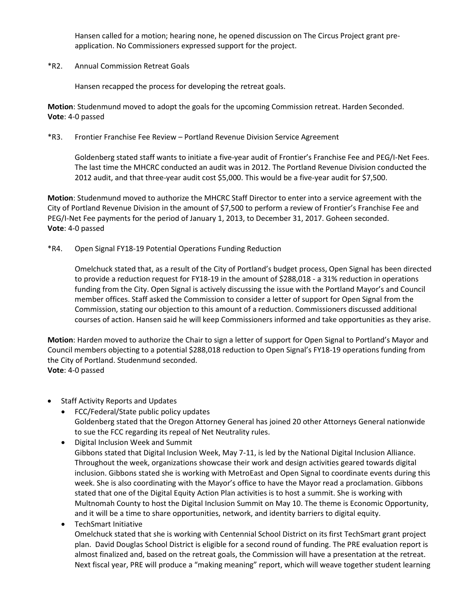Hansen called for a motion; hearing none, he opened discussion on The Circus Project grant preapplication. No Commissioners expressed support for the project.

\*R2. Annual Commission Retreat Goals

Hansen recapped the process for developing the retreat goals.

**Motion**: Studenmund moved to adopt the goals for the upcoming Commission retreat. Harden Seconded. **Vote**: 4-0 passed

## \*R3. Frontier Franchise Fee Review – Portland Revenue Division Service Agreement

Goldenberg stated staff wants to initiate a five-year audit of Frontier's Franchise Fee and PEG/I-Net Fees. The last time the MHCRC conducted an audit was in 2012. The Portland Revenue Division conducted the 2012 audit, and that three-year audit cost \$5,000. This would be a five-year audit for \$7,500.

**Motion**: Studenmund moved to authorize the MHCRC Staff Director to enter into a service agreement with the City of Portland Revenue Division in the amount of \$7,500 to perform a review of Frontier's Franchise Fee and PEG/I-Net Fee payments for the period of January 1, 2013, to December 31, 2017. Goheen seconded. **Vote**: 4-0 passed

\*R4. Open Signal FY18-19 Potential Operations Funding Reduction

Omelchuck stated that, as a result of the City of Portland's budget process, Open Signal has been directed to provide a reduction request for FY18-19 in the amount of \$288,018 - a 31% reduction in operations funding from the City. Open Signal is actively discussing the issue with the Portland Mayor's and Council member offices. Staff asked the Commission to consider a letter of support for Open Signal from the Commission, stating our objection to this amount of a reduction. Commissioners discussed additional courses of action. Hansen said he will keep Commissioners informed and take opportunities as they arise.

**Motion**: Harden moved to authorize the Chair to sign a letter of support for Open Signal to Portland's Mayor and Council members objecting to a potential \$288,018 reduction to Open Signal's FY18-19 operations funding from the City of Portland. Studenmund seconded. **Vote**: 4-0 passed

- Staff Activity Reports and Updates
	- FCC/Federal/State public policy updates Goldenberg stated that the Oregon Attorney General has joined 20 other Attorneys General nationwide to sue the FCC regarding its repeal of Net Neutrality rules.
	- Digital Inclusion Week and Summit Gibbons stated that Digital Inclusion Week, May 7-11, is led by the National Digital Inclusion Alliance. Throughout the week, organizations showcase their work and design activities geared towards digital inclusion. Gibbons stated she is working with MetroEast and Open Signal to coordinate events during this week. She is also coordinating with the Mayor's office to have the Mayor read a proclamation. Gibbons stated that one of the Digital Equity Action Plan activities is to host a summit. She is working with Multnomah County to host the Digital Inclusion Summit on May 10. The theme is Economic Opportunity, and it will be a time to share opportunities, network, and identity barriers to digital equity.
	- TechSmart Initiative

Omelchuck stated that she is working with Centennial School District on its first TechSmart grant project plan. David Douglas School District is eligible for a second round of funding. The PRE evaluation report is almost finalized and, based on the retreat goals, the Commission will have a presentation at the retreat. Next fiscal year, PRE will produce a "making meaning" report, which will weave together student learning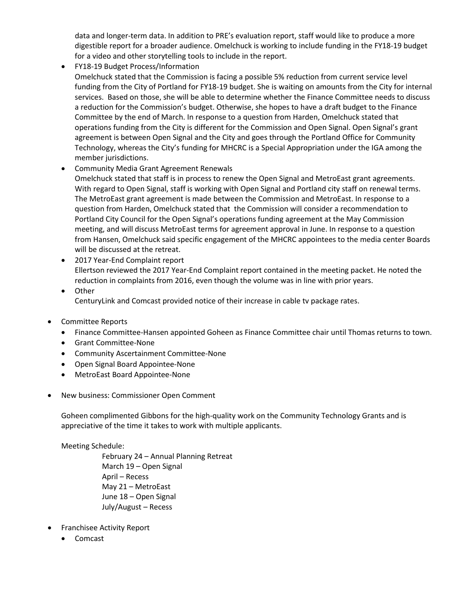data and longer-term data. In addition to PRE's evaluation report, staff would like to produce a more digestible report for a broader audience. Omelchuck is working to include funding in the FY18-19 budget for a video and other storytelling tools to include in the report.

- FY18-19 Budget Process/Information Omelchuck stated that the Commission is facing a possible 5% reduction from current service level funding from the City of Portland for FY18-19 budget. She is waiting on amounts from the City for internal services. Based on those, she will be able to determine whether the Finance Committee needs to discuss a reduction for the Commission's budget. Otherwise, she hopes to have a draft budget to the Finance Committee by the end of March. In response to a question from Harden, Omelchuck stated that operations funding from the City is different for the Commission and Open Signal. Open Signal's grant agreement is between Open Signal and the City and goes through the Portland Office for Community Technology, whereas the City's funding for MHCRC is a Special Appropriation under the IGA among the member jurisdictions.
- Community Media Grant Agreement Renewals Omelchuck stated that staff is in process to renew the Open Signal and MetroEast grant agreements. With regard to Open Signal, staff is working with Open Signal and Portland city staff on renewal terms. The MetroEast grant agreement is made between the Commission and MetroEast. In response to a question from Harden, Omelchuck stated that the Commission will consider a recommendation to Portland City Council for the Open Signal's operations funding agreement at the May Commission meeting, and will discuss MetroEast terms for agreement approval in June. In response to a question from Hansen, Omelchuck said specific engagement of the MHCRC appointees to the media center Boards will be discussed at the retreat.
- 2017 Year-End Complaint report Ellertson reviewed the 2017 Year-End Complaint report contained in the meeting packet. He noted the reduction in complaints from 2016, even though the volume was in line with prior years.
- Other CenturyLink and Comcast provided notice of their increase in cable tv package rates.
- Committee Reports
	- Finance Committee-Hansen appointed Goheen as Finance Committee chair until Thomas returns to town.
	- Grant Committee-None
	- Community Ascertainment Committee-None
	- Open Signal Board Appointee-None
	- MetroEast Board Appointee-None
- New business: Commissioner Open Comment

Goheen complimented Gibbons for the high-quality work on the Community Technology Grants and is appreciative of the time it takes to work with multiple applicants.

Meeting Schedule:

February 24 – Annual Planning Retreat March 19 – Open Signal April – Recess May 21 – MetroEast June 18 – Open Signal July/August – Recess

- Franchisee Activity Report
	- Comcast